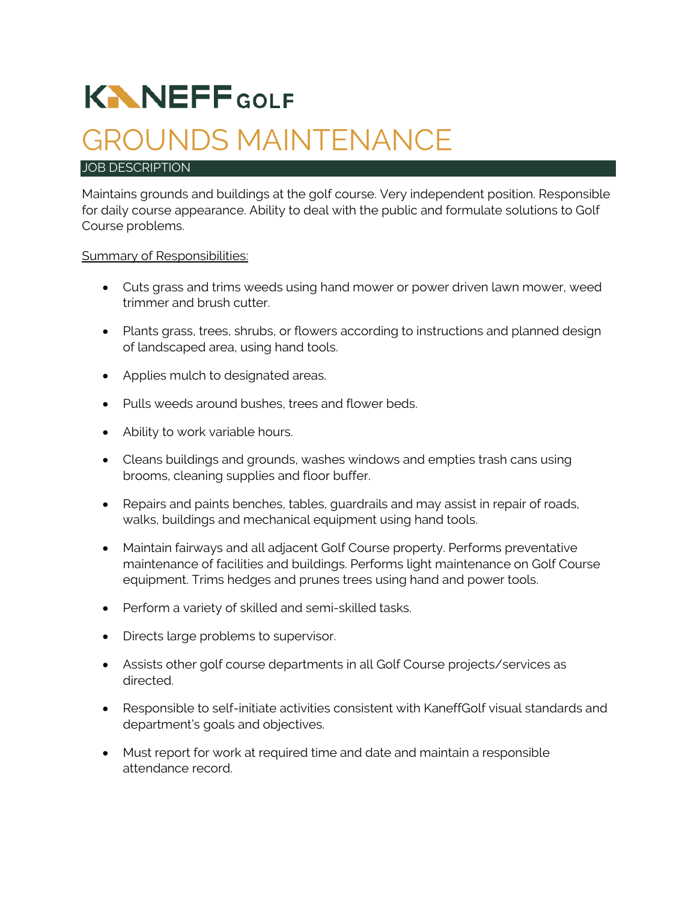# **KNNEFFGOLF**

# GROUNDS MAINTENANCE

#### JOB DESCRIPTION

Maintains grounds and buildings at the golf course. Very independent position. Responsible for daily course appearance. Ability to deal with the public and formulate solutions to Golf Course problems.

#### **Summary of Responsibilities:**

- Cuts grass and trims weeds using hand mower or power driven lawn mower, weed trimmer and brush cutter.
- Plants grass, trees, shrubs, or flowers according to instructions and planned design of landscaped area, using hand tools.
- Applies mulch to designated areas.
- Pulls weeds around bushes, trees and flower beds.
- Ability to work variable hours.
- Cleans buildings and grounds, washes windows and empties trash cans using brooms, cleaning supplies and floor buffer.
- Repairs and paints benches, tables, guardrails and may assist in repair of roads, walks, buildings and mechanical equipment using hand tools.
- Maintain fairways and all adjacent Golf Course property. Performs preventative maintenance of facilities and buildings. Performs light maintenance on Golf Course equipment. Trims hedges and prunes trees using hand and power tools.
- Perform a variety of skilled and semi-skilled tasks.
- Directs large problems to supervisor.
- Assists other golf course departments in all Golf Course projects/services as directed.
- Responsible to self-initiate activities consistent with KaneffGolf visual standards and department's goals and objectives.
- Must report for work at required time and date and maintain a responsible attendance record.